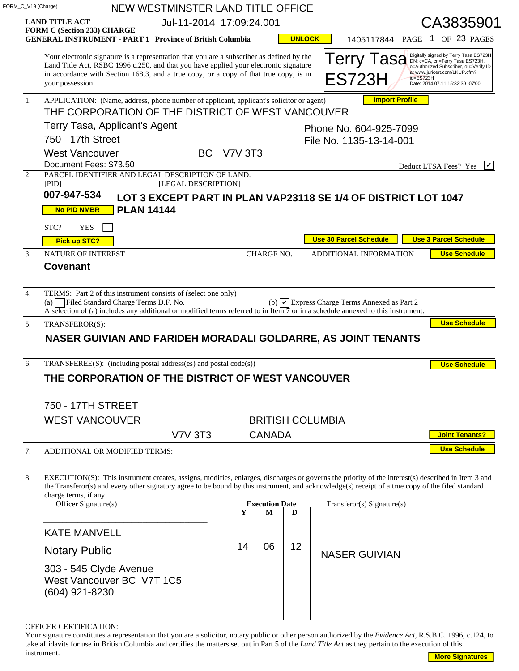|                  | FORM_C_V19 (Charge)                                                                                                                                                                                                                                                                            |                                                                                                                                              |                                              | NEW WESTMINSTER LAND TITLE OFFICE |    |                        |                         |  |                                                            |  |           |                              |                                                                                                                                                                                         |
|------------------|------------------------------------------------------------------------------------------------------------------------------------------------------------------------------------------------------------------------------------------------------------------------------------------------|----------------------------------------------------------------------------------------------------------------------------------------------|----------------------------------------------|-----------------------------------|----|------------------------|-------------------------|--|------------------------------------------------------------|--|-----------|------------------------------|-----------------------------------------------------------------------------------------------------------------------------------------------------------------------------------------|
|                  | <b>LAND TITLE ACT</b>                                                                                                                                                                                                                                                                          |                                                                                                                                              | Jul-11-2014 17:09:24.001                     |                                   |    |                        |                         |  |                                                            |  |           | CA3835901                    |                                                                                                                                                                                         |
|                  | <b>FORM C (Section 233) CHARGE</b><br><b>GENERAL INSTRUMENT - PART 1 Province of British Columbia</b>                                                                                                                                                                                          |                                                                                                                                              |                                              |                                   |    |                        | <b>UNLOCK</b>           |  |                                                            |  |           |                              | 1405117844 PAGE 1 OF 23 PAGES                                                                                                                                                           |
|                  | Your electronic signature is a representation that you are a subscriber as defined by the<br>Land Title Act, RSBC 1996 c.250, and that you have applied your electronic signature<br>in accordance with Section 168.3, and a true copy, or a copy of that true copy, is in<br>your possession. |                                                                                                                                              |                                              |                                   |    |                        |                         |  | Terry Tasa<br>ES723H                                       |  | id=ES723H |                              | Digitally signed by Terry Tasa ES723H<br>DN: c=CA, cn=Terry Tasa ES723H,<br>o=Authorized Subscriber, ou=Verify ID<br>at www.juricert.com/LKUP.cfm?<br>Date: 2014.07.11 15:32:30 -07'00' |
| 1.               | <b>Import Profile</b><br>APPLICATION: (Name, address, phone number of applicant, applicant's solicitor or agent)                                                                                                                                                                               |                                                                                                                                              |                                              |                                   |    |                        |                         |  |                                                            |  |           |                              |                                                                                                                                                                                         |
|                  | THE CORPORATION OF THE DISTRICT OF WEST VANCOUVER                                                                                                                                                                                                                                              |                                                                                                                                              |                                              |                                   |    |                        |                         |  |                                                            |  |           |                              |                                                                                                                                                                                         |
|                  | Terry Tasa, Applicant's Agent<br>750 - 17th Street                                                                                                                                                                                                                                             |                                                                                                                                              |                                              |                                   |    | Phone No. 604-925-7099 |                         |  |                                                            |  |           |                              |                                                                                                                                                                                         |
|                  | <b>West Vancouver</b>                                                                                                                                                                                                                                                                          |                                                                                                                                              | File No. 1135-13-14-001<br><b>BC</b> V7V 3T3 |                                   |    |                        |                         |  |                                                            |  |           |                              |                                                                                                                                                                                         |
|                  | Document Fees: \$73.50                                                                                                                                                                                                                                                                         |                                                                                                                                              |                                              |                                   |    |                        |                         |  |                                                            |  |           | I۷۱<br>Deduct LTSA Fees? Yes |                                                                                                                                                                                         |
| 2.               | PARCEL IDENTIFIER AND LEGAL DESCRIPTION OF LAND:<br>[PID]                                                                                                                                                                                                                                      |                                                                                                                                              |                                              | [LEGAL DESCRIPTION]               |    |                        |                         |  |                                                            |  |           |                              |                                                                                                                                                                                         |
|                  | 007-947-534                                                                                                                                                                                                                                                                                    |                                                                                                                                              |                                              |                                   |    |                        |                         |  |                                                            |  |           |                              |                                                                                                                                                                                         |
|                  | LOT 3 EXCEPT PART IN PLAN VAP23118 SE 1/4 OF DISTRICT LOT 1047<br><b>PLAN 14144</b><br><b>No PID NMBR</b>                                                                                                                                                                                      |                                                                                                                                              |                                              |                                   |    |                        |                         |  |                                                            |  |           |                              |                                                                                                                                                                                         |
|                  | STC?<br><b>YES</b>                                                                                                                                                                                                                                                                             |                                                                                                                                              |                                              |                                   |    |                        |                         |  |                                                            |  |           |                              |                                                                                                                                                                                         |
|                  | <b>Pick up STC?</b>                                                                                                                                                                                                                                                                            |                                                                                                                                              |                                              |                                   |    |                        |                         |  | <b>Use 30 Parcel Schedule</b>                              |  |           |                              | <b>Use 3 Parcel Schedule</b>                                                                                                                                                            |
| $\overline{3}$ . | NATURE OF INTEREST                                                                                                                                                                                                                                                                             |                                                                                                                                              |                                              |                                   |    | <b>CHARGE NO.</b>      |                         |  | ADDITIONAL INFORMATION                                     |  |           |                              | <b>Use Schedule</b>                                                                                                                                                                     |
|                  | <b>Covenant</b>                                                                                                                                                                                                                                                                                |                                                                                                                                              |                                              |                                   |    |                        |                         |  |                                                            |  |           |                              |                                                                                                                                                                                         |
| 4.               | TERMS: Part 2 of this instrument consists of (select one only)<br>(a) Filed Standard Charge Terms D.F. No.                                                                                                                                                                                     | A selection of (a) includes any additional or modified terms referred to in Item $\overline{7}$ or in a schedule annexed to this instrument. |                                              |                                   |    |                        |                         |  | (b) $\triangledown$ Express Charge Terms Annexed as Part 2 |  |           |                              |                                                                                                                                                                                         |
|                  |                                                                                                                                                                                                                                                                                                |                                                                                                                                              |                                              |                                   |    |                        |                         |  |                                                            |  |           |                              |                                                                                                                                                                                         |
| 5.               | TRANSFEROR(S):                                                                                                                                                                                                                                                                                 |                                                                                                                                              |                                              |                                   |    |                        |                         |  |                                                            |  |           |                              |                                                                                                                                                                                         |
|                  | NASER GUIVIAN AND FARIDEH MORADALI GOLDARRE, AS JOINT TENANTS                                                                                                                                                                                                                                  |                                                                                                                                              |                                              |                                   |    |                        |                         |  |                                                            |  |           |                              |                                                                                                                                                                                         |
|                  |                                                                                                                                                                                                                                                                                                |                                                                                                                                              |                                              |                                   |    |                        |                         |  |                                                            |  |           |                              |                                                                                                                                                                                         |
| 6.               | TRANSFEREE(S): (including postal address(es) and postal code(s))                                                                                                                                                                                                                               |                                                                                                                                              |                                              |                                   |    |                        |                         |  |                                                            |  |           |                              | <b>Use Schedule</b><br><b>Use Schedule</b>                                                                                                                                              |
|                  | THE CORPORATION OF THE DISTRICT OF WEST VANCOUVER                                                                                                                                                                                                                                              |                                                                                                                                              |                                              |                                   |    |                        |                         |  |                                                            |  |           |                              |                                                                                                                                                                                         |
|                  |                                                                                                                                                                                                                                                                                                |                                                                                                                                              |                                              |                                   |    |                        |                         |  |                                                            |  |           |                              |                                                                                                                                                                                         |
|                  | 750 - 17TH STREET                                                                                                                                                                                                                                                                              |                                                                                                                                              |                                              |                                   |    |                        |                         |  |                                                            |  |           |                              |                                                                                                                                                                                         |
|                  | <b>WEST VANCOUVER</b>                                                                                                                                                                                                                                                                          |                                                                                                                                              |                                              |                                   |    |                        | <b>BRITISH COLUMBIA</b> |  |                                                            |  |           |                              |                                                                                                                                                                                         |
| 7.               |                                                                                                                                                                                                                                                                                                |                                                                                                                                              |                                              | <b>V7V 3T3</b>                    |    | <b>CANADA</b>          |                         |  |                                                            |  |           |                              | <b>Joint Tenants?</b><br><b>Use Schedule</b>                                                                                                                                            |
|                  | ADDITIONAL OR MODIFIED TERMS:                                                                                                                                                                                                                                                                  |                                                                                                                                              |                                              |                                   |    |                        |                         |  |                                                            |  |           |                              |                                                                                                                                                                                         |
| 8.               | EXECUTION(S): This instrument creates, assigns, modifies, enlarges, discharges or governs the priority of the interest(s) described in Item 3 and                                                                                                                                              |                                                                                                                                              |                                              |                                   |    |                        |                         |  |                                                            |  |           |                              |                                                                                                                                                                                         |
|                  | the Transferor(s) and every other signatory agree to be bound by this instrument, and acknowledge(s) receipt of a true copy of the filed standard<br>charge terms, if any.                                                                                                                     |                                                                                                                                              |                                              |                                   |    |                        |                         |  |                                                            |  |           |                              |                                                                                                                                                                                         |
|                  | Officer Signature(s)                                                                                                                                                                                                                                                                           |                                                                                                                                              |                                              |                                   |    | <b>Execution Date</b>  |                         |  | $Transferror(s)$ Signature(s)                              |  |           |                              |                                                                                                                                                                                         |
|                  |                                                                                                                                                                                                                                                                                                |                                                                                                                                              |                                              |                                   | Y  | М                      | D                       |  |                                                            |  |           |                              |                                                                                                                                                                                         |
|                  | <b>KATE MANVELL</b>                                                                                                                                                                                                                                                                            |                                                                                                                                              |                                              |                                   |    |                        |                         |  |                                                            |  |           |                              |                                                                                                                                                                                         |
|                  | <b>Notary Public</b>                                                                                                                                                                                                                                                                           |                                                                                                                                              |                                              |                                   | 14 | 06                     | 12                      |  | <b>NASER GUIVIAN</b>                                       |  |           |                              |                                                                                                                                                                                         |
|                  | 303 - 545 Clyde Avenue<br>West Vancouver BC V7T 1C5<br>(604) 921-8230                                                                                                                                                                                                                          |                                                                                                                                              |                                              |                                   |    |                        |                         |  |                                                            |  |           |                              |                                                                                                                                                                                         |
|                  |                                                                                                                                                                                                                                                                                                |                                                                                                                                              |                                              |                                   |    |                        |                         |  |                                                            |  |           |                              |                                                                                                                                                                                         |
|                  | OFFICER CERTIFICATION:<br>Your signature constitutes a representation that you are a solicitor, notary public or other person authorized by the Evidence Act, R.S.B.C. 1996, c.124, to                                                                                                         |                                                                                                                                              |                                              |                                   |    |                        |                         |  |                                                            |  |           |                              |                                                                                                                                                                                         |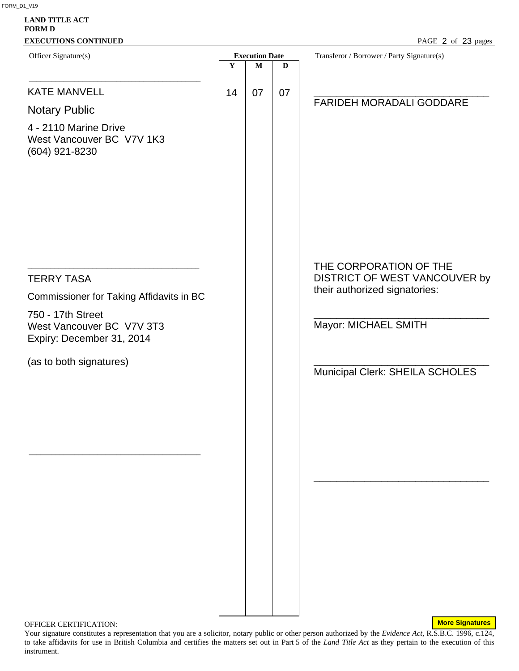| $\mathbf Y$<br>14 | <b>Execution Date</b><br>$\mathbf M$ | $\mathbf D$ | Transferor / Borrower / Party Signature(s)                                               |
|-------------------|--------------------------------------|-------------|------------------------------------------------------------------------------------------|
|                   |                                      |             |                                                                                          |
|                   | 07                                   | 07          |                                                                                          |
|                   |                                      |             | <b>FARIDEH MORADALI GODDARE</b>                                                          |
|                   |                                      |             |                                                                                          |
|                   |                                      |             |                                                                                          |
|                   |                                      |             | THE CORPORATION OF THE<br>DISTRICT OF WEST VANCOUVER by<br>their authorized signatories: |
|                   |                                      |             |                                                                                          |
|                   |                                      |             | Mayor: MICHAEL SMITH                                                                     |
|                   |                                      |             |                                                                                          |
|                   |                                      |             | Municipal Clerk: SHEILA SCHOLES                                                          |
|                   |                                      |             |                                                                                          |
|                   |                                      |             |                                                                                          |
|                   |                                      |             |                                                                                          |
|                   |                                      |             |                                                                                          |
|                   |                                      |             |                                                                                          |
|                   |                                      |             |                                                                                          |

OFFICER CERTIFICATION:

Your signature constitutes a representation that you are a solicitor, notary public or other person authorized by the *Evidence Act*, R.S.B.C. 1996, c.124, to take affidavits for use in British Columbia and certifies the matters set out in Part 5 of the *Land Title Act* as they pertain to the execution of this instrument.

**More Signatures**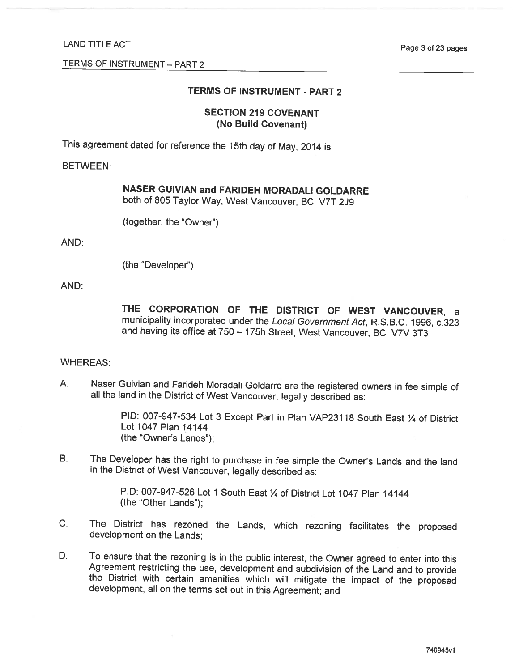### TERMS OF INSTRUMENT - PART 2

#### **SECTION 219 COVENANT** (No Build Covenant)

This agreement dated for reference the 15th day of May, 2014 is

#### **BETWEEN:**

|  |  |  |  |  | NASER GUIVIAN and FARIDEH MORADALI GOLDARRE |
|--|--|--|--|--|---------------------------------------------|
|  |  |  |  |  |                                             |

both of 805 Taylor Way, West Vancouver, BC V7T 2J9

(together, the "Owner")

#### AND:

```
(the "Developer")
```
#### AND:

THE CORPORATION OF THE DISTRICT OF WEST VANCOUVER, a municipality incorporated under the Local Government Act, R.S.B.C. 1996, c.323 and having its office at 750 - 175h Street, West Vancouver, BC V7V 3T3

#### **WHEREAS:**

Naser Guivian and Farideh Moradali Goldarre are the registered owners in fee simple of  $A_{1}$ all the land in the District of West Vancouver, legally described as:

> PID: 007-947-534 Lot 3 Except Part in Plan VAP23118 South East 1/4 of District Lot 1047 Plan 14144 (the "Owner's Lands");

 $B<sub>1</sub>$ The Developer has the right to purchase in fee simple the Owner's Lands and the land in the District of West Vancouver, legally described as:

> PID: 007-947-526 Lot 1 South East 1/4 of District Lot 1047 Plan 14144 (the "Other Lands");

- $C_{1}$ The District has rezoned the Lands, which rezoning facilitates the proposed development on the Lands;
- To ensure that the rezoning is in the public interest, the Owner agreed to enter into this D. Agreement restricting the use, development and subdivision of the Land and to provide the District with certain amenities which will mitigate the impact of the proposed development, all on the terms set out in this Agreement; and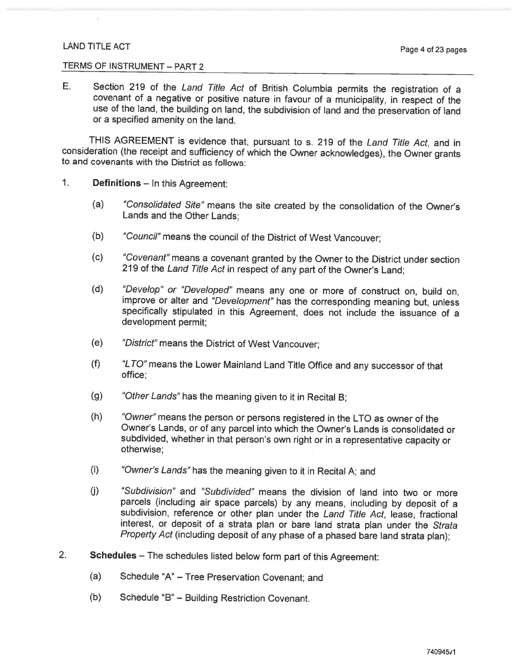#### TERMS OF INSTRUMENT - PART 2

E. Section 219 of the Land Title Act of British Columbia permits the registration of a covenant of a negative or positive nature in favour of a municipality, in respect of the use of the land, the building on land, the subdivision of land and the preservation of land or a specified amenity on the land.

THIS AGREEMENT is evidence that, pursuant to s. 219 of the Land Title Act, and in consideration (the receipt and sufficiency of which the Owner acknowledges), the Owner grants to and covenants with the District as follows:

- $1<sub>1</sub>$ **Definitions** – In this Agreement:
	- $(a)$ "Consolidated Site" means the site created by the consolidation of the Owner's Lands and the Other Lands:
	- $(b)$ "Council" means the council of the District of West Vancouver;
	- $(c)$ "Covenant" means a covenant granted by the Owner to the District under section 219 of the Land Title Act in respect of any part of the Owner's Land;
	- $(d)$ "Develop" or "Developed" means any one or more of construct on, build on, improve or alter and "Development" has the corresponding meaning but, unless specifically stipulated in this Agreement, does not include the issuance of a development permit:
	- "District" means the District of West Vancouver;  $(e)$
	- $(f)$ "LTO" means the Lower Mainland Land Title Office and any successor of that office:
	- "Other Lands" has the meaning given to it in Recital B;  $(g)$
	- $(h)$ "Owner" means the person or persons registered in the LTO as owner of the Owner's Lands, or of any parcel into which the Owner's Lands is consolidated or subdivided, whether in that person's own right or in a representative capacity or otherwise:
	- $(i)$ "Owner's Lands" has the meaning given to it in Recital A; and
	- "Subdivision" and "Subdivided" means the division of land into two or more  $(i)$ parcels (including air space parcels) by any means, including by deposit of a subdivision, reference or other plan under the Land Title Act. lease, fractional interest, or deposit of a strata plan or bare land strata plan under the Strata Property Act (including deposit of any phase of a phased bare land strata plan);
- $2.$ Schedules - The schedules listed below form part of this Agreement:
	- $(a)$ Schedule "A" - Tree Preservation Covenant; and
	- Schedule "B" Building Restriction Covenant.  $(b)$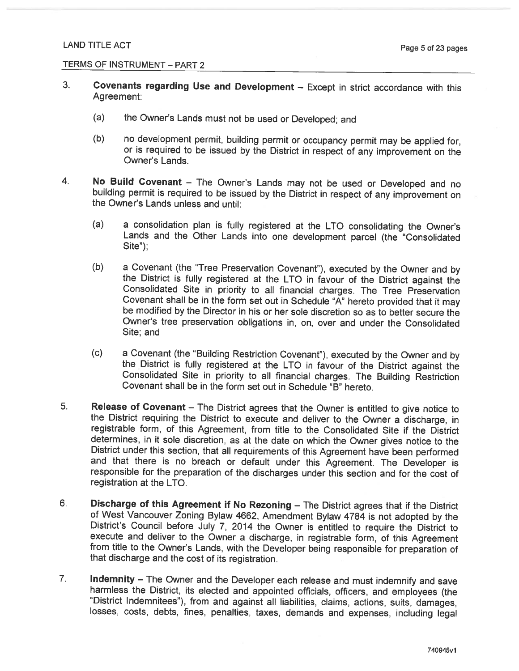- $3<sub>1</sub>$ Covenants regarding Use and Development - Except in strict accordance with this Agreement:
	- $(a)$ the Owner's Lands must not be used or Developed; and
	- $(b)$ no development permit, building permit or occupancy permit may be applied for, or is required to be issued by the District in respect of any improvement on the Owner's Lands.
- 4. No Build Covenant - The Owner's Lands may not be used or Developed and no building permit is required to be issued by the District in respect of any improvement on the Owner's Lands unless and until:
	- $(a)$ a consolidation plan is fully registered at the LTO consolidating the Owner's Lands and the Other Lands into one development parcel (the "Consolidated  $Site$ ");
	- $(b)$ a Covenant (the "Tree Preservation Covenant"), executed by the Owner and by the District is fully registered at the LTO in favour of the District against the Consolidated Site in priority to all financial charges. The Tree Preservation Covenant shall be in the form set out in Schedule "A" hereto provided that it may be modified by the Director in his or her sole discretion so as to better secure the Owner's tree preservation obligations in, on, over and under the Consolidated Site: and
	- $(c)$ a Covenant (the "Building Restriction Covenant"), executed by the Owner and by the District is fully registered at the LTO in favour of the District against the Consolidated Site in priority to all financial charges. The Building Restriction Covenant shall be in the form set out in Schedule "B" hereto.
- 5. Release of Covenant - The District agrees that the Owner is entitled to give notice to the District requiring the District to execute and deliver to the Owner a discharge, in registrable form, of this Agreement, from title to the Consolidated Site if the District determines, in it sole discretion, as at the date on which the Owner gives notice to the District under this section, that all requirements of this Agreement have been performed and that there is no breach or default under this Agreement. The Developer is responsible for the preparation of the discharges under this section and for the cost of registration at the LTO.
- 6. Discharge of this Agreement if No Rezoning - The District agrees that if the District of West Vancouver Zoning Bylaw 4662, Amendment Bylaw 4784 is not adopted by the District's Council before July 7, 2014 the Owner is entitled to require the District to execute and deliver to the Owner a discharge, in registrable form, of this Agreement from title to the Owner's Lands, with the Developer being responsible for preparation of that discharge and the cost of its registration.
- $7.$ Indemnity - The Owner and the Developer each release and must indemnify and save harmless the District, its elected and appointed officials, officers, and employees (the "District Indemnitees"), from and against all liabilities, claims, actions, suits, damages, losses, costs, debts, fines, penalties, taxes, demands and expenses, including legal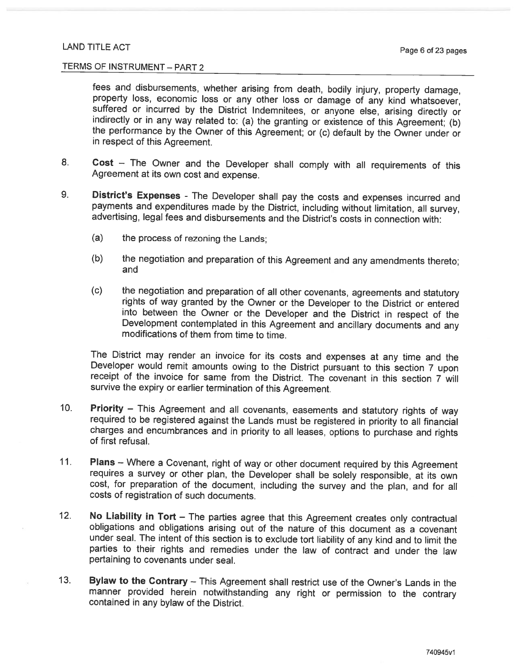#### TERMS OF INSTRUMENT - PART 2

fees and disbursements, whether arising from death, bodily injury, property damage, property loss, economic loss or any other loss or damage of any kind whatsoever, suffered or incurred by the District Indemnitees, or anyone else, arising directly or indirectly or in any way related to: (a) the granting or existence of this Agreement; (b) the performance by the Owner of this Agreement; or (c) default by the Owner under or in respect of this Agreement.

- 8. Cost - The Owner and the Developer shall comply with all requirements of this Agreement at its own cost and expense.
- 9. District's Expenses - The Developer shall pay the costs and expenses incurred and payments and expenditures made by the District, including without limitation, all survey, advertising, legal fees and disbursements and the District's costs in connection with:
	- $(a)$ the process of rezoning the Lands:
	- the negotiation and preparation of this Agreement and any amendments thereto;  $(b)$ and
	- $(c)$ the negotiation and preparation of all other covenants, agreements and statutory rights of way granted by the Owner or the Developer to the District or entered into between the Owner or the Developer and the District in respect of the Development contemplated in this Agreement and ancillary documents and any modifications of them from time to time.

The District may render an invoice for its costs and expenses at any time and the Developer would remit amounts owing to the District pursuant to this section 7 upon receipt of the invoice for same from the District. The covenant in this section 7 will survive the expiry or earlier termination of this Agreement.

- $10<sub>1</sub>$ Priority - This Agreement and all covenants, easements and statutory rights of way required to be registered against the Lands must be registered in priority to all financial charges and encumbrances and in priority to all leases, options to purchase and rights of first refusal.
- $11.$ Plans - Where a Covenant, right of way or other document required by this Agreement requires a survey or other plan, the Developer shall be solely responsible, at its own cost, for preparation of the document, including the survey and the plan, and for all costs of registration of such documents.
- $12.$ No Liability in Tort - The parties agree that this Agreement creates only contractual obligations and obligations arising out of the nature of this document as a covenant under seal. The intent of this section is to exclude tort liability of any kind and to limit the parties to their rights and remedies under the law of contract and under the law pertaining to covenants under seal.
- $13.$ Bylaw to the Contrary - This Agreement shall restrict use of the Owner's Lands in the manner provided herein notwithstanding any right or permission to the contrary contained in any bylaw of the District.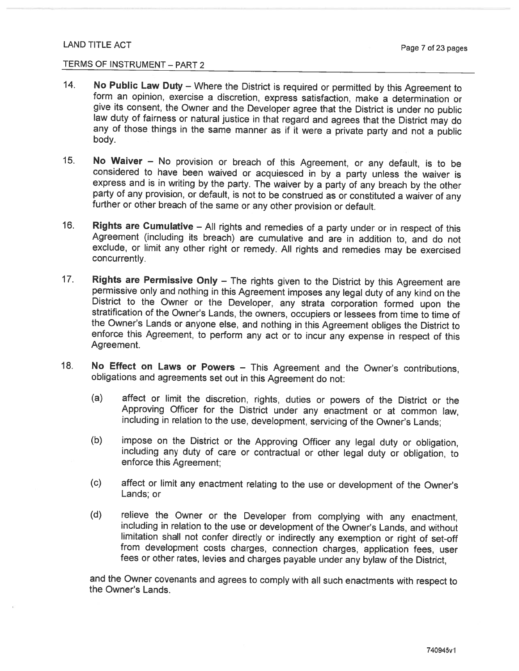### TERMS OF INSTRUMENT - PART 2

- $14.$ No Public Law Duty - Where the District is required or permitted by this Agreement to form an opinion, exercise a discretion, express satisfaction, make a determination or give its consent, the Owner and the Developer agree that the District is under no public law duty of fairness or natural justice in that regard and agrees that the District may do any of those things in the same manner as if it were a private party and not a public body.
- $15.$ No Waiver - No provision or breach of this Agreement, or any default, is to be considered to have been waived or acquiesced in by a party unless the waiver is express and is in writing by the party. The waiver by a party of any breach by the other party of any provision, or default, is not to be construed as or constituted a waiver of any further or other breach of the same or any other provision or default.
- $16.$ Rights are Cumulative - All rights and remedies of a party under or in respect of this Agreement (including its breach) are cumulative and are in addition to, and do not exclude, or limit any other right or remedy. All rights and remedies may be exercised concurrently.
- $17.$ Rights are Permissive Only - The rights given to the District by this Agreement are permissive only and nothing in this Agreement imposes any legal duty of any kind on the District to the Owner or the Developer, any strata corporation formed upon the stratification of the Owner's Lands, the owners, occupiers or lessees from time to time of the Owner's Lands or anyone else, and nothing in this Agreement obliges the District to enforce this Agreement, to perform any act or to incur any expense in respect of this Agreement.
- $18.$ No Effect on Laws or Powers - This Agreement and the Owner's contributions, obligations and agreements set out in this Agreement do not:
	- $(a)$ affect or limit the discretion, rights, duties or powers of the District or the Approving Officer for the District under any enactment or at common law. including in relation to the use, development, servicing of the Owner's Lands;
	- $(b)$ impose on the District or the Approving Officer any legal duty or obligation, including any duty of care or contractual or other legal duty or obligation, to enforce this Agreement;
	- $(c)$ affect or limit any enactment relating to the use or development of the Owner's Lands; or
	- relieve the Owner or the Developer from complying with any enactment,  $(d)$ including in relation to the use or development of the Owner's Lands, and without limitation shall not confer directly or indirectly any exemption or right of set-off from development costs charges, connection charges, application fees, user fees or other rates, levies and charges payable under any bylaw of the District,

and the Owner covenants and agrees to comply with all such enactments with respect to the Owner's Lands.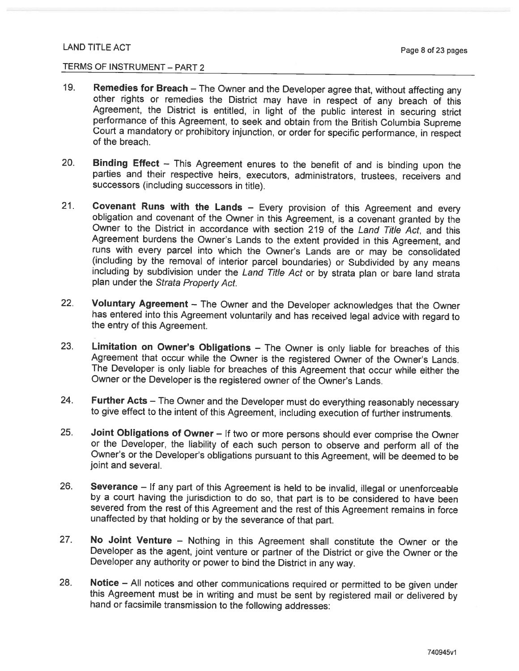- $19.$ Remedies for Breach - The Owner and the Developer agree that, without affecting any other rights or remedies the District may have in respect of any breach of this Agreement, the District is entitled, in light of the public interest in securing strict performance of this Agreement, to seek and obtain from the British Columbia Supreme Court a mandatory or prohibitory injunction, or order for specific performance, in respect of the breach.
- 20. Binding Effect - This Agreement enures to the benefit of and is binding upon the parties and their respective heirs, executors, administrators, trustees, receivers and successors (including successors in title).
- $21.$ Covenant Runs with the Lands - Every provision of this Agreement and every obligation and covenant of the Owner in this Agreement, is a covenant granted by the Owner to the District in accordance with section 219 of the Land Title Act, and this Agreement burdens the Owner's Lands to the extent provided in this Agreement, and runs with every parcel into which the Owner's Lands are or may be consolidated (including by the removal of interior parcel boundaries) or Subdivided by any means including by subdivision under the Land Title Act or by strata plan or bare land strata plan under the Strata Property Act.
- $22.$ Voluntary Agreement - The Owner and the Developer acknowledges that the Owner has entered into this Agreement voluntarily and has received legal advice with regard to the entry of this Agreement.
- 23. Limitation on Owner's Obligations - The Owner is only liable for breaches of this Agreement that occur while the Owner is the registered Owner of the Owner's Lands. The Developer is only liable for breaches of this Agreement that occur while either the Owner or the Developer is the registered owner of the Owner's Lands.
- 24. Further Acts - The Owner and the Developer must do everything reasonably necessary to give effect to the intent of this Agreement, including execution of further instruments.
- $25.$ Joint Obligations of Owner - If two or more persons should ever comprise the Owner or the Developer, the liability of each such person to observe and perform all of the Owner's or the Developer's obligations pursuant to this Agreement, will be deemed to be joint and several.
- 26. Severance - If any part of this Agreement is held to be invalid, illegal or unenforceable by a court having the jurisdiction to do so, that part is to be considered to have been severed from the rest of this Agreement and the rest of this Agreement remains in force unaffected by that holding or by the severance of that part.
- $27.$ No Joint Venture – Nothing in this Agreement shall constitute the Owner or the Developer as the agent, joint venture or partner of the District or give the Owner or the Developer any authority or power to bind the District in any way.
- 28. Notice – All notices and other communications required or permitted to be given under this Agreement must be in writing and must be sent by registered mail or delivered by hand or facsimile transmission to the following addresses: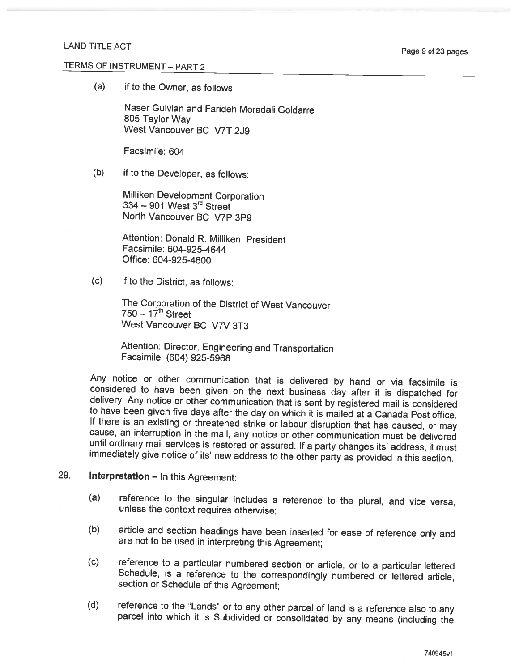$(a)$ if to the Owner, as follows:

> Naser Guivian and Farideh Moradali Goldarre 805 Taylor Way West Vancouver BC V7T 2J9

Facsimile: 604

 $(b)$ if to the Developer, as follows:

> Milliken Development Corporation 334 - 901 West 3rd Street North Vancouver BC V7P 3P9

Attention: Donald R. Milliken, President Facsimile: 604-925-4644 Office: 604-925-4600

 $(c)$ if to the District, as follows:

> The Corporation of the District of West Vancouver  $750 - 17^{\text{th}}$  Street West Vancouver BC V7V 3T3

Attention: Director, Engineering and Transportation Facsimile: (604) 925-5968

Any notice or other communication that is delivered by hand or via facsimile is considered to have been given on the next business day after it is dispatched for delivery. Any notice or other communication that is sent by registered mail is considered to have been given five days after the day on which it is mailed at a Canada Post office. If there is an existing or threatened strike or labour disruption that has caused, or may cause, an interruption in the mail, any notice or other communication must be delivered until ordinary mail services is restored or assured. If a party changes its' address, it must immediately give notice of its' new address to the other party as provided in this section.

#### 29. **Interpretation** - In this Agreement:

- reference to the singular includes a reference to the plural, and vice versa,  $(a)$ unless the context requires otherwise;
- article and section headings have been inserted for ease of reference only and  $(b)$ are not to be used in interpreting this Agreement;
- reference to a particular numbered section or article, or to a particular lettered  $(c)$ Schedule, is a reference to the correspondingly numbered or lettered article, section or Schedule of this Agreement;
- reference to the "Lands" or to any other parcel of land is a reference also to any  $(d)$ parcel into which it is Subdivided or consolidated by any means (including the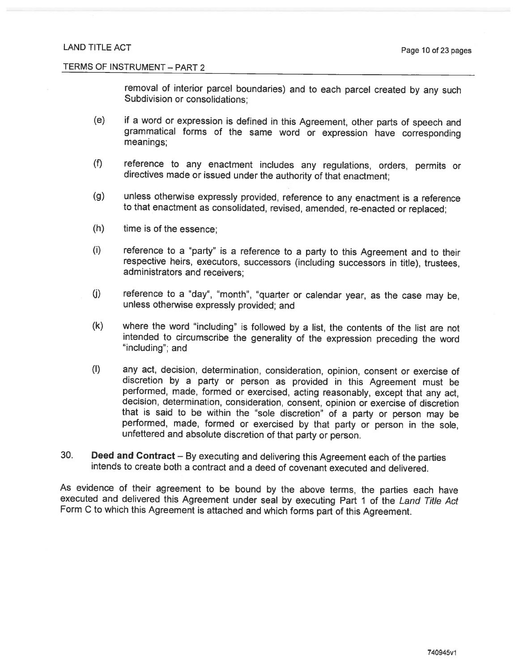removal of interior parcel boundaries) and to each parcel created by any such Subdivision or consolidations:

- if a word or expression is defined in this Agreement, other parts of speech and  $(e)$ grammatical forms of the same word or expression have corresponding meanings;
- reference to any enactment includes any regulations, orders, permits or  $(f)$ directives made or issued under the authority of that enactment;
- $(g)$ unless otherwise expressly provided, reference to any enactment is a reference to that enactment as consolidated, revised, amended, re-enacted or replaced;
- time is of the essence;  $(h)$
- $(i)$ reference to a "party" is a reference to a party to this Agreement and to their respective heirs, executors, successors (including successors in title), trustees, administrators and receivers:
- $(j)$ reference to a "day", "month", "quarter or calendar year, as the case may be. unless otherwise expressly provided; and
- $(k)$ where the word "including" is followed by a list, the contents of the list are not intended to circumscribe the generality of the expression preceding the word "including"; and
- $(1)$ any act, decision, determination, consideration, opinion, consent or exercise of discretion by a party or person as provided in this Agreement must be performed, made, formed or exercised, acting reasonably, except that any act, decision, determination, consideration, consent, opinion or exercise of discretion that is said to be within the "sole discretion" of a party or person may be performed, made, formed or exercised by that party or person in the sole, unfettered and absolute discretion of that party or person.
- 30. Deed and Contract – By executing and delivering this Agreement each of the parties intends to create both a contract and a deed of covenant executed and delivered.

As evidence of their agreement to be bound by the above terms, the parties each have executed and delivered this Agreement under seal by executing Part 1 of the Land Title Act Form C to which this Agreement is attached and which forms part of this Agreement.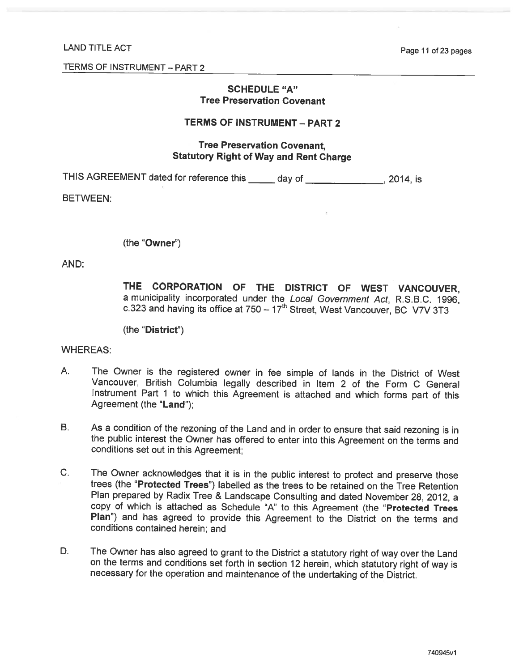Page 11 of 23 pages

TERMS OF INSTRUMENT - PART 2

### **SCHEDULE "A" Tree Preservation Covenant**

### **TERMS OF INSTRUMENT - PART 2**

### **Tree Preservation Covenant. Statutory Right of Way and Rent Charge**

THIS AGREEMENT dated for reference this \_\_\_\_\_ day of \_\_\_\_\_\_\_\_\_\_\_\_\_\_\_\_, 2014, is

**BETWEEN:** 

(the "Owner")

AND:

THE CORPORATION OF THE DISTRICT OF WEST VANCOUVER. a municipality incorporated under the Local Government Act, R.S.B.C. 1996, c.323 and having its office at  $750 - 17<sup>th</sup>$  Street. West Vancouver, BC V7V 3T3

(the "District")

**WHEREAS:** 

- $A_{n}$ The Owner is the registered owner in fee simple of lands in the District of West Vancouver, British Columbia legally described in Item 2 of the Form C General Instrument Part 1 to which this Agreement is attached and which forms part of this Agreement (the "Land"):
- **B.** As a condition of the rezoning of the Land and in order to ensure that said rezoning is in the public interest the Owner has offered to enter into this Agreement on the terms and conditions set out in this Agreement:
- $C_{1}$ The Owner acknowledges that it is in the public interest to protect and preserve those trees (the "Protected Trees") labelled as the trees to be retained on the Tree Retention Plan prepared by Radix Tree & Landscape Consulting and dated November 28, 2012, a copy of which is attached as Schedule "A" to this Agreement (the "Protected Trees Plan") and has agreed to provide this Agreement to the District on the terms and conditions contained herein; and
- D. The Owner has also agreed to grant to the District a statutory right of way over the Land on the terms and conditions set forth in section 12 herein, which statutory right of way is necessary for the operation and maintenance of the undertaking of the District.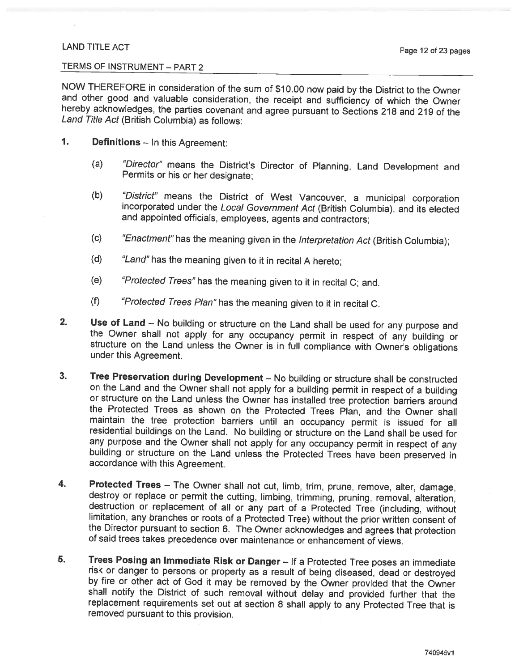#### TERMS OF INSTRUMENT - PART 2

NOW THEREFORE in consideration of the sum of \$10.00 now paid by the District to the Owner and other good and valuable consideration, the receipt and sufficiency of which the Owner hereby acknowledges, the parties covenant and agree pursuant to Sections 218 and 219 of the Land Title Act (British Columbia) as follows:

#### $\mathbf{1}$ . **Definitions** - In this Agreement:

- "Director" means the District's Director of Planning, Land Development and  $(a)$ Permits or his or her designate:
- "District" means the District of West Vancouver, a municipal corporation  $(b)$ incorporated under the Local Government Act (British Columbia), and its elected and appointed officials, employees, agents and contractors;
- $(c)$ "Enactment" has the meaning given in the Interpretation Act (British Columbia);
- "Land" has the meaning given to it in recital A hereto;  $(d)$
- $(e)$ "Protected Trees" has the meaning given to it in recital C; and.
- $(f)$ "Protected Trees Plan" has the meaning given to it in recital C.
- $2.$ Use of Land - No building or structure on the Land shall be used for any purpose and the Owner shall not apply for any occupancy permit in respect of any building or structure on the Land unless the Owner is in full compliance with Owner's obligations under this Agreement.
- $3.$ Tree Preservation during Development - No building or structure shall be constructed on the Land and the Owner shall not apply for a building permit in respect of a building or structure on the Land unless the Owner has installed tree protection barriers around the Protected Trees as shown on the Protected Trees Plan, and the Owner shall maintain the tree protection barriers until an occupancy permit is issued for all residential buildings on the Land. No building or structure on the Land shall be used for any purpose and the Owner shall not apply for any occupancy permit in respect of any building or structure on the Land unless the Protected Trees have been preserved in accordance with this Agreement.
- Protected Trees The Owner shall not cut, limb, trim, prune, remove, alter, damage, 4. destroy or replace or permit the cutting, limbing, trimming, pruning, removal, alteration, destruction or replacement of all or any part of a Protected Tree (including, without limitation, any branches or roots of a Protected Tree) without the prior written consent of the Director pursuant to section 6. The Owner acknowledges and agrees that protection of said trees takes precedence over maintenance or enhancement of views.
- 5. Trees Posing an Immediate Risk or Danger - If a Protected Tree poses an immediate risk or danger to persons or property as a result of being diseased, dead or destroyed by fire or other act of God it may be removed by the Owner provided that the Owner shall notify the District of such removal without delay and provided further that the replacement requirements set out at section 8 shall apply to any Protected Tree that is removed pursuant to this provision.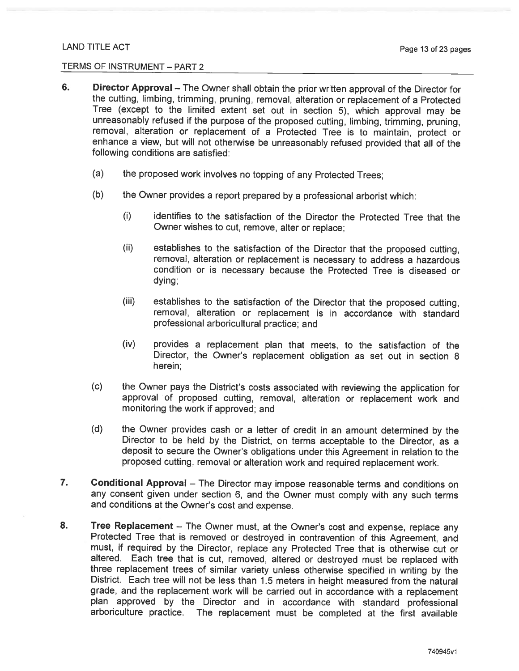- 6. **Director Approval** – The Owner shall obtain the prior written approval of the Director for the cutting, limbing, trimming, pruning, removal, alteration or replacement of a Protected Tree (except to the limited extent set out in section 5), which approval may be unreasonably refused if the purpose of the proposed cutting, limbing, trimming, pruning, removal, alteration or replacement of a Protected Tree is to maintain, protect or enhance a view, but will not otherwise be unreasonably refused provided that all of the following conditions are satisfied:
	- $(a)$ the proposed work involves no topping of any Protected Trees;
	- the Owner provides a report prepared by a professional arborist which:  $(b)$ 
		- $(i)$ identifies to the satisfaction of the Director the Protected Tree that the Owner wishes to cut, remove, alter or replace:
		- $(ii)$ establishes to the satisfaction of the Director that the proposed cutting. removal, alteration or replacement is necessary to address a hazardous condition or is necessary because the Protected Tree is diseased or dying:
		- $(iii)$ establishes to the satisfaction of the Director that the proposed cutting, removal, alteration or replacement is in accordance with standard professional arboricultural practice; and
		- $(iv)$ provides a replacement plan that meets, to the satisfaction of the Director, the Owner's replacement obligation as set out in section 8 herein:
	- $(c)$ the Owner pays the District's costs associated with reviewing the application for approval of proposed cutting, removal, alteration or replacement work and monitoring the work if approved; and
	- $(d)$ the Owner provides cash or a letter of credit in an amount determined by the Director to be held by the District, on terms acceptable to the Director, as a deposit to secure the Owner's obligations under this Agreement in relation to the proposed cutting, removal or alteration work and required replacement work.
- 7. Conditional Approval - The Director may impose reasonable terms and conditions on any consent given under section 6, and the Owner must comply with any such terms and conditions at the Owner's cost and expense.
- 8. Tree Replacement - The Owner must, at the Owner's cost and expense, replace any Protected Tree that is removed or destroyed in contravention of this Agreement, and must, if required by the Director, replace any Protected Tree that is otherwise cut or altered. Each tree that is cut, removed, altered or destroyed must be replaced with three replacement trees of similar variety unless otherwise specified in writing by the District. Each tree will not be less than 1.5 meters in height measured from the natural grade, and the replacement work will be carried out in accordance with a replacement plan approved by the Director and in accordance with standard professional arboriculture practice. The replacement must be completed at the first available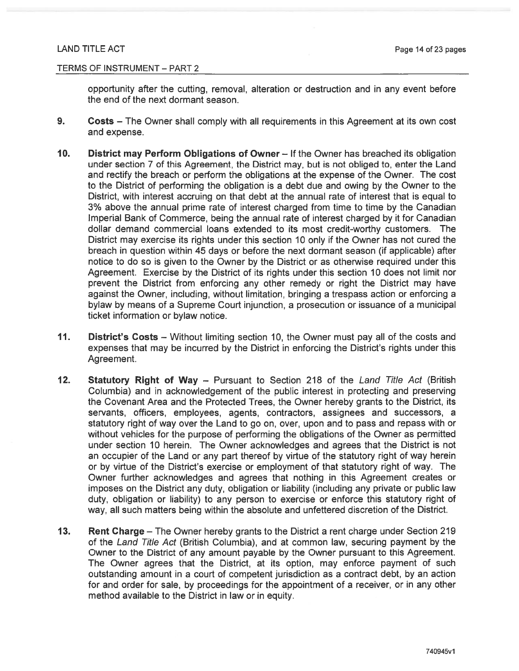#### TERMS OF INSTRUMENT - PART 2

opportunity after the cutting, removal, alteration or destruction and in any event before the end of the next dormant season.

- 9. Costs - The Owner shall comply with all requirements in this Agreement at its own cost and expense.
- $10.$ District may Perform Obligations of Owner - If the Owner has breached its obligation under section 7 of this Agreement, the District may, but is not obliged to, enter the Land and rectify the breach or perform the obligations at the expense of the Owner. The cost to the District of performing the obligation is a debt due and owing by the Owner to the District, with interest accruing on that debt at the annual rate of interest that is equal to 3% above the annual prime rate of interest charged from time to time by the Canadian Imperial Bank of Commerce, being the annual rate of interest charged by it for Canadian dollar demand commercial loans extended to its most credit-worthy customers. The District may exercise its rights under this section 10 only if the Owner has not cured the breach in question within 45 days or before the next dormant season (if applicable) after notice to do so is given to the Owner by the District or as otherwise required under this Agreement. Exercise by the District of its rights under this section 10 does not limit nor prevent the District from enforcing any other remedy or right the District may have against the Owner, including, without limitation, bringing a trespass action or enforcing a bylaw by means of a Supreme Court injunction, a prosecution or issuance of a municipal ticket information or bylaw notice.
- $11.$ District's Costs - Without limiting section 10, the Owner must pay all of the costs and expenses that may be incurred by the District in enforcing the District's rights under this Agreement.
- $12.$ **Statutory Right of Way - Pursuant to Section 218 of the Land Title Act (British** Columbia) and in acknowledgement of the public interest in protecting and preserving the Covenant Area and the Protected Trees, the Owner hereby grants to the District, its servants, officers, employees, agents, contractors, assignees and successors, a statutory right of way over the Land to go on, over, upon and to pass and repass with or without vehicles for the purpose of performing the obligations of the Owner as permitted under section 10 herein. The Owner acknowledges and agrees that the District is not an occupier of the Land or any part thereof by virtue of the statutory right of way herein or by virtue of the District's exercise or employment of that statutory right of way. The Owner further acknowledges and agrees that nothing in this Agreement creates or imposes on the District any duty, obligation or liability (including any private or public law duty, obligation or liability) to any person to exercise or enforce this statutory right of way, all such matters being within the absolute and unfettered discretion of the District.
- $13.$ Rent Charge - The Owner hereby grants to the District a rent charge under Section 219 of the Land Title Act (British Columbia), and at common law, securing payment by the Owner to the District of any amount payable by the Owner pursuant to this Agreement. The Owner agrees that the District, at its option, may enforce payment of such outstanding amount in a court of competent jurisdiction as a contract debt, by an action for and order for sale, by proceedings for the appointment of a receiver, or in any other method available to the District in law or in equity.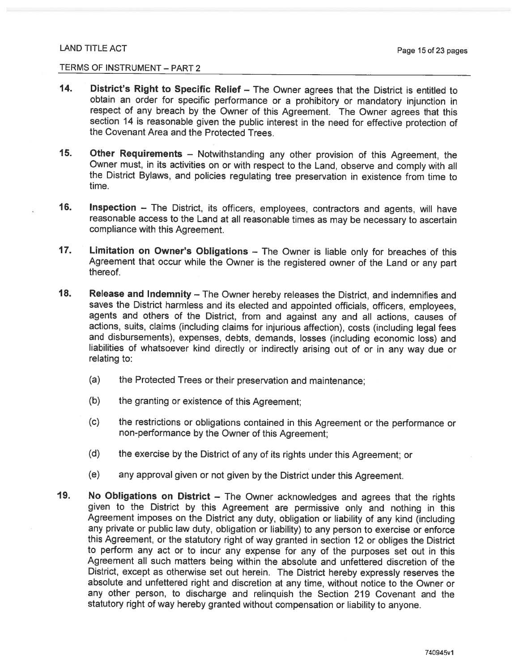- 14. District's Right to Specific Relief - The Owner agrees that the District is entitled to obtain an order for specific performance or a prohibitory or mandatory injunction in respect of any breach by the Owner of this Agreement. The Owner agrees that this section 14 is reasonable given the public interest in the need for effective protection of the Covenant Area and the Protected Trees.
- $15.$ Other Requirements - Notwithstanding any other provision of this Agreement, the Owner must, in its activities on or with respect to the Land, observe and comply with all the District Bylaws, and policies regulating tree preservation in existence from time to time.
- 16. Inspection - The District, its officers, employees, contractors and agents, will have reasonable access to the Land at all reasonable times as may be necessary to ascertain compliance with this Agreement.
- $17.$ Limitation on Owner's Obligations - The Owner is liable only for breaches of this Agreement that occur while the Owner is the registered owner of the Land or any part thereof.
- $18.$ Release and Indemnity - The Owner hereby releases the District, and indemnifies and saves the District harmless and its elected and appointed officials, officers, employees, agents and others of the District, from and against any and all actions, causes of actions, suits, claims (including claims for injurious affection), costs (including legal fees and disbursements), expenses, debts, demands, losses (including economic loss) and liabilities of whatsoever kind directly or indirectly arising out of or in any way due or relating to:
	- $(a)$ the Protected Trees or their preservation and maintenance;
	- $(b)$ the granting or existence of this Agreement;
	- $(c)$ the restrictions or obligations contained in this Agreement or the performance or non-performance by the Owner of this Agreement;
	- $(d)$ the exercise by the District of any of its rights under this Agreement; or
	- $(e)$ any approval given or not given by the District under this Agreement.
- 19. No Obligations on District - The Owner acknowledges and agrees that the rights given to the District by this Agreement are permissive only and nothing in this Agreement imposes on the District any duty, obligation or liability of any kind (including any private or public law duty, obligation or liability) to any person to exercise or enforce this Agreement, or the statutory right of way granted in section 12 or obliges the District to perform any act or to incur any expense for any of the purposes set out in this Agreement all such matters being within the absolute and unfettered discretion of the District, except as otherwise set out herein. The District hereby expressly reserves the absolute and unfettered right and discretion at any time, without notice to the Owner or any other person, to discharge and relinguish the Section 219 Covenant and the statutory right of way hereby granted without compensation or liability to anyone.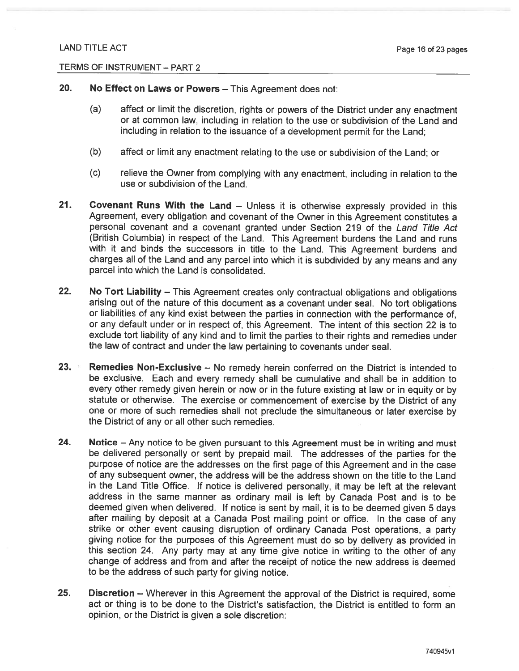- 20. No Effect on Laws or Powers - This Agreement does not:
	- $(a)$ affect or limit the discretion, rights or powers of the District under any enactment or at common law, including in relation to the use or subdivision of the Land and including in relation to the issuance of a development permit for the Land:
	- $(b)$ affect or limit any enactment relating to the use or subdivision of the Land; or
	- $(c)$ relieve the Owner from complying with any enactment, including in relation to the use or subdivision of the Land.
- $21.$ **Covenant Runs With the Land – Unless it is otherwise expressly provided in this** Agreement, every obligation and covenant of the Owner in this Agreement constitutes a personal covenant and a covenant granted under Section 219 of the Land Title Act (British Columbia) in respect of the Land. This Agreement burdens the Land and runs with it and binds the successors in title to the Land. This Agreement burdens and charges all of the Land and any parcel into which it is subdivided by any means and any parcel into which the Land is consolidated.
- $22.$ No Tort Liability – This Agreement creates only contractual obligations and obligations arising out of the nature of this document as a covenant under seal. No tort obligations or liabilities of any kind exist between the parties in connection with the performance of, or any default under or in respect of, this Agreement. The intent of this section 22 is to exclude tort liability of any kind and to limit the parties to their rights and remedies under the law of contract and under the law pertaining to covenants under seal.
- $23.$ **Remedies Non-Exclusive – No remedy herein conferred on the District is intended to** be exclusive. Each and every remedy shall be cumulative and shall be in addition to every other remedy given herein or now or in the future existing at law or in equity or by statute or otherwise. The exercise or commencement of exercise by the District of any one or more of such remedies shall not preclude the simultaneous or later exercise by the District of any or all other such remedies.
- 24. Notice – Any notice to be given pursuant to this Agreement must be in writing and must be delivered personally or sent by prepaid mail. The addresses of the parties for the purpose of notice are the addresses on the first page of this Agreement and in the case of any subsequent owner, the address will be the address shown on the title to the Land in the Land Title Office. If notice is delivered personally, it may be left at the relevant address in the same manner as ordinary mail is left by Canada Post and is to be deemed given when delivered. If notice is sent by mail, it is to be deemed given 5 days after mailing by deposit at a Canada Post mailing point or office. In the case of any strike or other event causing disruption of ordinary Canada Post operations, a party giving notice for the purposes of this Agreement must do so by delivery as provided in this section 24. Any party may at any time give notice in writing to the other of any change of address and from and after the receipt of notice the new address is deemed to be the address of such party for giving notice.
- $25.$ **Discretion** – Wherever in this Agreement the approval of the District is required, some act or thing is to be done to the District's satisfaction, the District is entitled to form an opinion, or the District is given a sole discretion: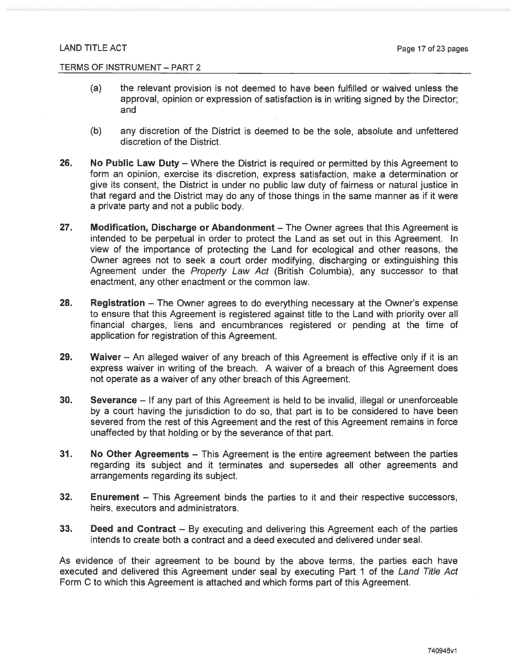- $(a)$ the relevant provision is not deemed to have been fulfilled or waived unless the approval, opinion or expression of satisfaction is in writing signed by the Director; and
- $(b)$ any discretion of the District is deemed to be the sole, absolute and unfettered discretion of the District.
- 26. No Public Law Duty – Where the District is required or permitted by this Agreement to form an opinion, exercise its discretion, express satisfaction, make a determination or give its consent, the District is under no public law duty of fairness or natural justice in that regard and the District may do any of those things in the same manner as if it were a private party and not a public body.
- $27.$ **Modification, Discharge or Abandonment** – The Owner agrees that this Agreement is intended to be perpetual in order to protect the Land as set out in this Agreement. In view of the importance of protecting the Land for ecological and other reasons, the Owner agrees not to seek a court order modifying, discharging or extinguishing this Agreement under the Property Law Act (British Columbia), any successor to that enactment, any other enactment or the common law.
- 28. **Registration** – The Owner agrees to do everything necessary at the Owner's expense to ensure that this Agreement is registered against title to the Land with priority over all financial charges, liens and encumbrances registered or pending at the time of application for registration of this Agreement.
- 29. Waiver – An alleged waiver of any breach of this Agreement is effective only if it is an express waiver in writing of the breach. A waiver of a breach of this Agreement does not operate as a waiver of any other breach of this Agreement.
- 30. Severance - If any part of this Agreement is held to be invalid, illegal or unenforceable by a court having the jurisdiction to do so, that part is to be considered to have been severed from the rest of this Agreement and the rest of this Agreement remains in force unaffected by that holding or by the severance of that part.
- $31.$ No Other Agreements – This Agreement is the entire agreement between the parties regarding its subject and it terminates and supersedes all other agreements and arrangements regarding its subject.
- $32.$ **Enurement** – This Agreement binds the parties to it and their respective successors, heirs, executors and administrators.
- 33. **Deed and Contract** – By executing and delivering this Agreement each of the parties intends to create both a contract and a deed executed and delivered under seal.

As evidence of their agreement to be bound by the above terms, the parties each have executed and delivered this Agreement under seal by executing Part 1 of the Land Title Act Form C to which this Agreement is attached and which forms part of this Agreement.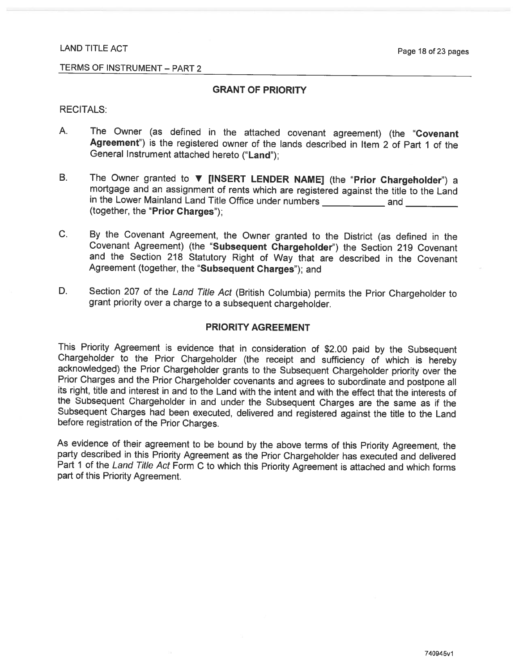#### TERMS OF INSTRUMENT - PART 2

#### **GRANT OF PRIORITY**

#### **RECITALS:**

- A. The Owner (as defined in the attached covenant agreement) (the "Covenant Agreement") is the registered owner of the lands described in Item 2 of Part 1 of the General Instrument attached hereto ("Land");
- **B.** The Owner granted to **v** [INSERT LENDER NAME] (the "Prior Chargeholder") a mortgage and an assignment of rents which are registered against the title to the Land in the Lower Mainland Land Title Office under numbers \_\_\_\_\_\_\_\_\_\_\_\_\_\_\_ and \_\_\_\_\_\_ (together, the "Prior Charges"):
- $C_{\cdot}$ By the Covenant Agreement, the Owner granted to the District (as defined in the Covenant Agreement) (the "Subsequent Chargeholder") the Section 219 Covenant and the Section 218 Statutory Right of Way that are described in the Covenant Agreement (together, the "Subsequent Charges"); and
- D. Section 207 of the Land Title Act (British Columbia) permits the Prior Chargeholder to grant priority over a charge to a subsequent chargeholder.

#### **PRIORITY AGREEMENT**

This Priority Agreement is evidence that in consideration of \$2.00 paid by the Subsequent Chargeholder to the Prior Chargeholder (the receipt and sufficiency of which is hereby acknowledged) the Prior Chargeholder grants to the Subsequent Chargeholder priority over the Prior Charges and the Prior Chargeholder covenants and agrees to subordinate and postpone all its right, title and interest in and to the Land with the intent and with the effect that the interests of the Subsequent Chargeholder in and under the Subsequent Charges are the same as if the Subsequent Charges had been executed, delivered and registered against the title to the Land before registration of the Prior Charges.

As evidence of their agreement to be bound by the above terms of this Priority Agreement, the party described in this Priority Agreement as the Prior Chargeholder has executed and delivered Part 1 of the Land Title Act Form C to which this Priority Agreement is attached and which forms part of this Priority Agreement.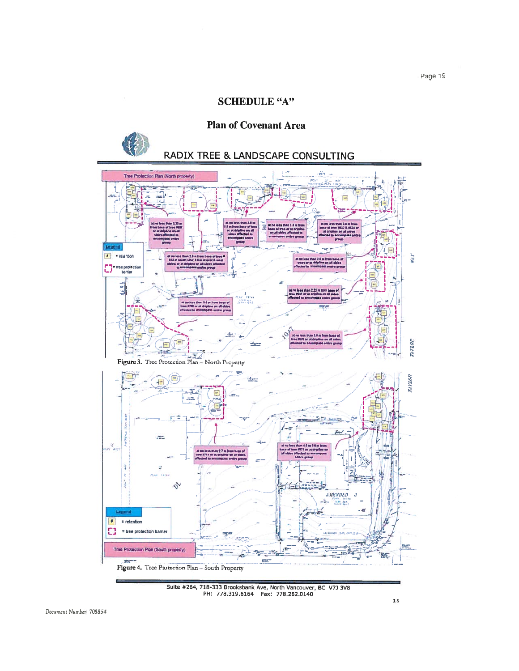### **SCHEDULE "A"**

## **Plan of Covenant Area**

# RADIX TREE & LANDSCAPE CONSULTING



Suite #264, 718-333 Brooksbank Ave, North Vancouver, BC V7J 3V8<br>PH: 778.319.6164 Fax: 778.262.0140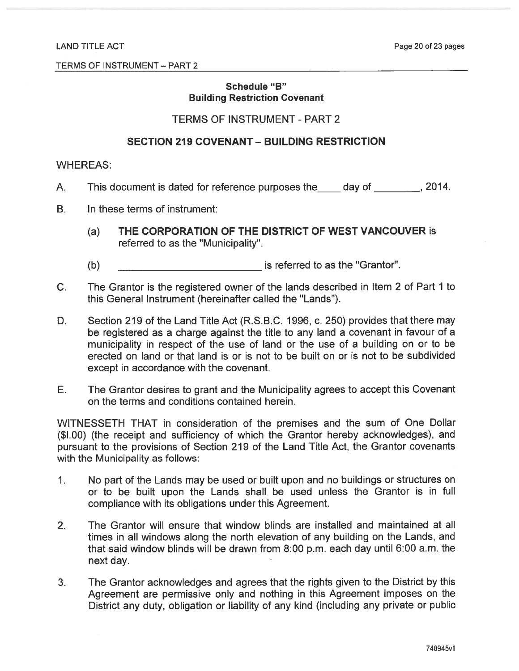### Schedule "B" **Building Restriction Covenant**

## **TERMS OF INSTRUMENT - PART 2**

### **SECTION 219 COVENANT - BUILDING RESTRICTION**

#### **WHEREAS:**

- This document is dated for reference purposes the day of 100 mg, 2014.  $A_{\cdot}$
- $B_{\perp}$ In these terms of instrument:
	- THE CORPORATION OF THE DISTRICT OF WEST VANCOUVER is  $(a)$ referred to as the "Municipality".
	- $(b)$ is referred to as the "Grantor".
- $C_{1}$ The Grantor is the registered owner of the lands described in Item 2 of Part 1 to this General Instrument (hereinafter called the "Lands").
- D. Section 219 of the Land Title Act (R.S.B.C. 1996, c. 250) provides that there may be registered as a charge against the title to any land a covenant in favour of a municipality in respect of the use of land or the use of a building on or to be erected on land or that land is or is not to be built on or is not to be subdivided except in accordance with the covenant.
- The Grantor desires to grant and the Municipality agrees to accept this Covenant Е. on the terms and conditions contained herein.

WITNESSETH THAT in consideration of the premises and the sum of One Dollar (\$1.00) (the receipt and sufficiency of which the Grantor hereby acknowledges), and pursuant to the provisions of Section 219 of the Land Title Act, the Grantor covenants with the Municipality as follows:

- $1<sub>1</sub>$ No part of the Lands may be used or built upon and no buildings or structures on or to be built upon the Lands shall be used unless the Grantor is in full compliance with its obligations under this Agreement.
- The Grantor will ensure that window blinds are installed and maintained at all  $2.$ times in all windows along the north elevation of any building on the Lands, and that said window blinds will be drawn from 8:00 p.m. each day until 6:00 a.m. the next day.
- The Grantor acknowledges and agrees that the rights given to the District by this  $3.$ Agreement are permissive only and nothing in this Agreement imposes on the District any duty, obligation or liability of any kind (including any private or public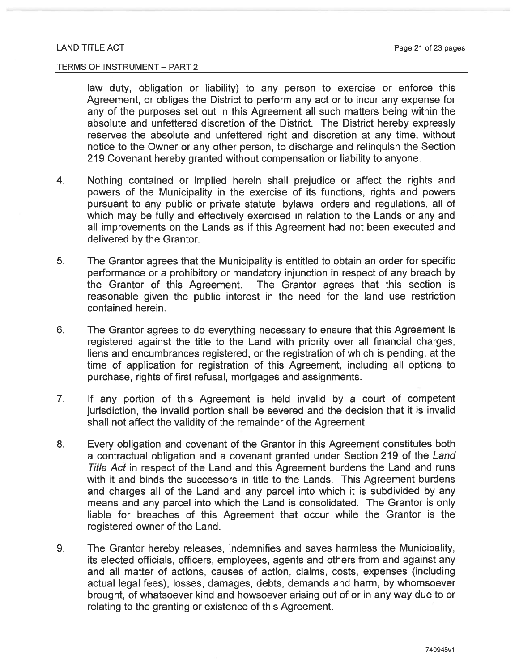law duty, obligation or liability) to any person to exercise or enforce this Agreement, or obliges the District to perform any act or to incur any expense for any of the purposes set out in this Agreement all such matters being within the absolute and unfettered discretion of the District. The District hereby expressly reserves the absolute and unfettered right and discretion at any time, without notice to the Owner or any other person, to discharge and relinguish the Section 219 Covenant hereby granted without compensation or liability to anyone.

- $\overline{4}$ Nothing contained or implied herein shall prejudice or affect the rights and powers of the Municipality in the exercise of its functions, rights and powers pursuant to any public or private statute, bylaws, orders and regulations, all of which may be fully and effectively exercised in relation to the Lands or any and all improvements on the Lands as if this Agreement had not been executed and delivered by the Grantor.
- 5. The Grantor agrees that the Municipality is entitled to obtain an order for specific performance or a prohibitory or mandatory injunction in respect of any breach by the Grantor of this Agreement. The Grantor agrees that this section is reasonable given the public interest in the need for the land use restriction contained herein.
- 6. The Grantor agrees to do everything necessary to ensure that this Agreement is registered against the title to the Land with priority over all financial charges, liens and encumbrances registered, or the registration of which is pending, at the time of application for registration of this Agreement, including all options to purchase, rights of first refusal, mortgages and assignments.
- $7<sub>1</sub>$ If any portion of this Agreement is held invalid by a court of competent jurisdiction, the invalid portion shall be severed and the decision that it is invalid shall not affect the validity of the remainder of the Agreement.
- Every obligation and covenant of the Grantor in this Agreement constitutes both 8. a contractual obligation and a covenant granted under Section 219 of the Land Title Act in respect of the Land and this Agreement burdens the Land and runs with it and binds the successors in title to the Lands. This Agreement burdens and charges all of the Land and any parcel into which it is subdivided by any means and any parcel into which the Land is consolidated. The Grantor is only liable for breaches of this Agreement that occur while the Grantor is the registered owner of the Land.
- The Grantor hereby releases, indemnifies and saves harmless the Municipality, 9. its elected officials, officers, employees, agents and others from and against any and all matter of actions, causes of action, claims, costs, expenses (including actual legal fees), losses, damages, debts, demands and harm, by whomsoever brought, of whatsoever kind and howsoever arising out of or in any way due to or relating to the granting or existence of this Agreement.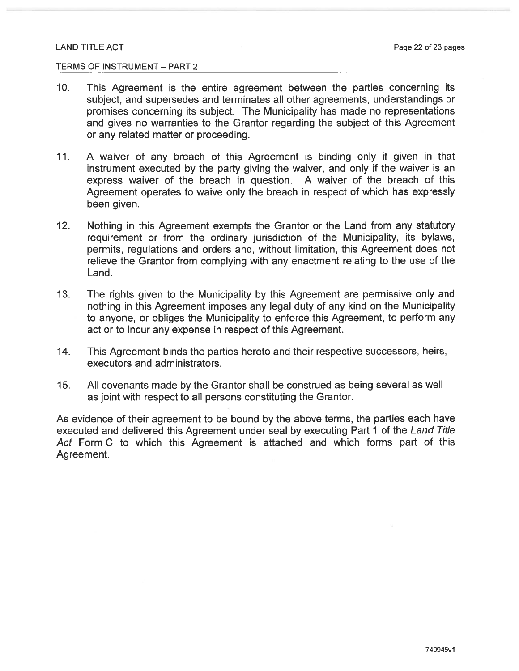#### TERMS OF INSTRUMENT - PART 2

- This Agreement is the entire agreement between the parties concerning its  $10.$ subject, and supersedes and terminates all other agreements, understandings or promises concerning its subject. The Municipality has made no representations and gives no warranties to the Grantor regarding the subject of this Agreement or any related matter or proceeding.
- $11.$ A waiver of any breach of this Agreement is binding only if given in that instrument executed by the party giving the waiver, and only if the waiver is an express waiver of the breach in question. A waiver of the breach of this Agreement operates to waive only the breach in respect of which has expressly been given.
- $12.$ Nothing in this Agreement exempts the Grantor or the Land from any statutory requirement or from the ordinary jurisdiction of the Municipality, its bylaws, permits, regulations and orders and, without limitation, this Agreement does not relieve the Grantor from complying with any enactment relating to the use of the Land.
- $13.$ The rights given to the Municipality by this Agreement are permissive only and nothing in this Agreement imposes any legal duty of any kind on the Municipality to anyone, or obliges the Municipality to enforce this Agreement, to perform any act or to incur any expense in respect of this Agreement.
- $14.$ This Agreement binds the parties hereto and their respective successors, heirs, executors and administrators.
- $15.$ All covenants made by the Grantor shall be construed as being several as well as joint with respect to all persons constituting the Grantor.

As evidence of their agreement to be bound by the above terms, the parties each have executed and delivered this Agreement under seal by executing Part 1 of the Land Title Act Form C to which this Agreement is attached and which forms part of this Agreement.